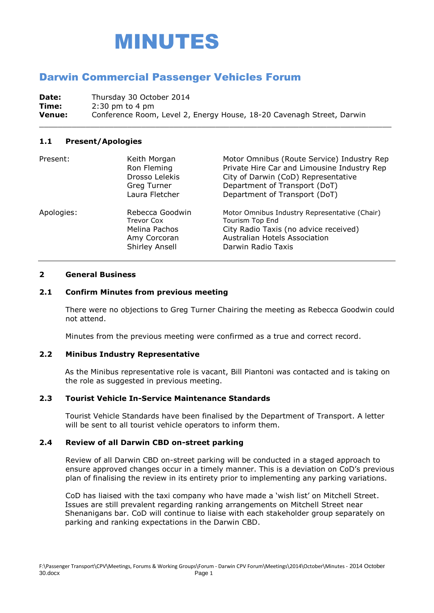

# Darwin Commercial Passenger Vehicles Forum

**Date:** Thursday 30 October 2014 **Time:** 2:30 pm to 4 pm **Venue:** Conference Room, Level 2, Energy House, 18-20 Cavenagh Street, Darwin \_\_\_\_\_\_\_\_\_\_\_\_\_\_\_\_\_\_\_\_\_\_\_\_\_\_\_\_\_\_\_\_\_\_\_\_\_\_\_\_\_\_\_\_\_\_\_\_\_\_\_\_\_\_\_\_\_\_\_\_\_\_\_\_\_\_\_\_\_\_\_\_\_\_\_\_

### **1.1 Present/Apologies**

| Present:   | Keith Morgan<br>Ron Fleming<br>Drosso Lelekis<br>Greg Turner<br>Laura Fletcher          | Motor Omnibus (Route Service) Industry Rep<br>Private Hire Car and Limousine Industry Rep<br>City of Darwin (CoD) Representative<br>Department of Transport (DoT)<br>Department of Transport (DoT) |
|------------|-----------------------------------------------------------------------------------------|----------------------------------------------------------------------------------------------------------------------------------------------------------------------------------------------------|
| Apologies: | Rebecca Goodwin<br>Trevor Cox<br>Melina Pachos<br>Amy Corcoran<br><b>Shirley Ansell</b> | Motor Omnibus Industry Representative (Chair)<br>Tourism Top End<br>City Radio Taxis (no advice received)<br><b>Australian Hotels Association</b><br>Darwin Radio Taxis                            |

#### **2 General Business**

#### **2.1 Confirm Minutes from previous meeting**

There were no objections to Greg Turner Chairing the meeting as Rebecca Goodwin could not attend.

Minutes from the previous meeting were confirmed as a true and correct record.

#### **2.2 Minibus Industry Representative**

As the Minibus representative role is vacant, Bill Piantoni was contacted and is taking on the role as suggested in previous meeting.

### **2.3 Tourist Vehicle In-Service Maintenance Standards**

Tourist Vehicle Standards have been finalised by the Department of Transport. A letter will be sent to all tourist vehicle operators to inform them.

#### **2.4 Review of all Darwin CBD on-street parking**

Review of all Darwin CBD on-street parking will be conducted in a staged approach to ensure approved changes occur in a timely manner. This is a deviation on CoD's previous plan of finalising the review in its entirety prior to implementing any parking variations.

CoD has liaised with the taxi company who have made a 'wish list' on Mitchell Street. Issues are still prevalent regarding ranking arrangements on Mitchell Street near Shenanigans bar. CoD will continue to liaise with each stakeholder group separately on parking and ranking expectations in the Darwin CBD.